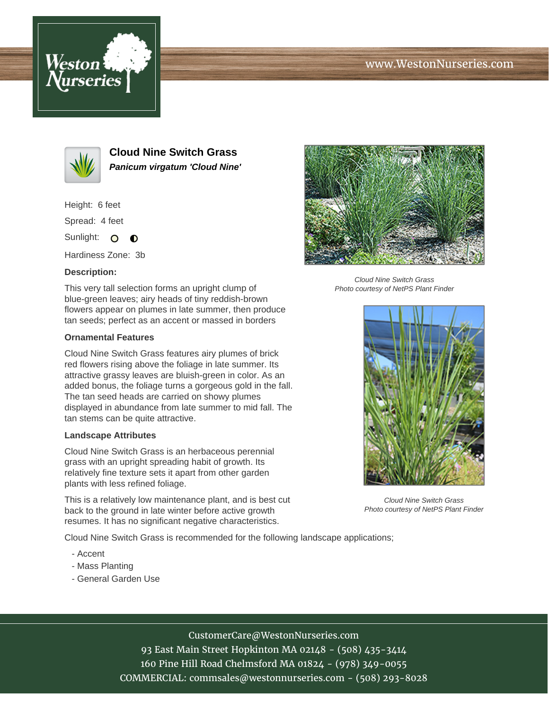# www.WestonNurseries.com





**Cloud Nine Switch Grass Panicum virgatum 'Cloud Nine'**

Height: 6 feet

Spread: 4 feet

Sunlight: O  $\bullet$ 

Hardiness Zone: 3b

## **Description:**

This very tall selection forms an upright clump of blue-green leaves; airy heads of tiny reddish-brown flowers appear on plumes in late summer, then produce tan seeds; perfect as an accent or massed in borders

### **Ornamental Features**

Cloud Nine Switch Grass features airy plumes of brick red flowers rising above the foliage in late summer. Its attractive grassy leaves are bluish-green in color. As an added bonus, the foliage turns a gorgeous gold in the fall. The tan seed heads are carried on showy plumes displayed in abundance from late summer to mid fall. The tan stems can be quite attractive.

#### **Landscape Attributes**

Cloud Nine Switch Grass is an herbaceous perennial grass with an upright spreading habit of growth. Its relatively fine texture sets it apart from other garden plants with less refined foliage.

This is a relatively low maintenance plant, and is best cut back to the ground in late winter before active growth resumes. It has no significant negative characteristics.

Cloud Nine Switch Grass is recommended for the following landscape applications;

- Accent
- Mass Planting
- General Garden Use



Cloud Nine Switch Grass Photo courtesy of NetPS Plant Finder



Cloud Nine Switch Grass Photo courtesy of NetPS Plant Finder

# CustomerCare@WestonNurseries.com

93 East Main Street Hopkinton MA 02148 - (508) 435-3414 160 Pine Hill Road Chelmsford MA 01824 - (978) 349-0055 COMMERCIAL: commsales@westonnurseries.com - (508) 293-8028